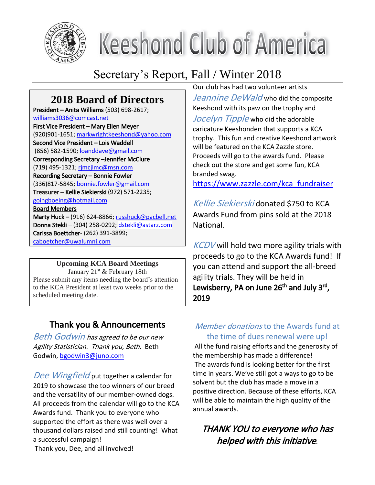

# **Keeshond Club of America**

# Secretary's Report, Fall / Winter 2018

# **2018 Board of Directors**

President – Anita Williams (503) 698-2617; williams3036@comcast.net First Vice President – Mary Ellen Meyer (920)901-1651; markwrightkeeshond@yahoo.com Second Vice President – Lois Waddell (856) 582-1590; loanddave@gmail.com Corresponding Secretary –Jennifer McClure (719) 495-1321; rjmcjlmc@msn.com Recording Secretary – Bonnie Fowler (336)817-5845; bonnie.fowler@gmail.com Treasurer – Kellie Siekierski (972) 571-2235; goingboeing@hotmail.com Board Members Marty Huck – (916) 624-8866; russhuck@pacbell.net Donna Stekli – (304) 258-0292; dstekli@astarz.com Carissa Boettcher- (262) 391-3899;

caboetcher@uwalumni.com

## **Upcoming KCA Board Meetings**

January  $21^{st}$  & February 18th Please submit any items needing the board's attention to the KCA President at least two weeks prior to the scheduled meeting date.

# Thank you & Announcements

Beth Godwin has agreed to be our new Agility Statistician. Thank you, Beth. Beth Godwin, bgodwin3@juno.com

Dee Wingfield put together a calendar for 2019 to showcase the top winners of our breed and the versatility of our member-owned dogs. All proceeds from the calendar will go to the KCA Awards fund. Thank you to everyone who supported the effort as there was well over a thousand dollars raised and still counting! What a successful campaign!

Thank you, Dee, and all involved!

Our club has had two volunteer artists Jeannine DeWald who did the composite Keeshond with its paw on the trophy and Jocelyn Tipple who did the adorable caricature Keeshonden that supports a KCA trophy. This fun and creative Keeshond artwork will be featured on the KCA Zazzle store. Proceeds will go to the awards fund. Please check out the store and get some fun, KCA branded swag.

https://www.zazzle.com/kca\_fundraiser

Kellie Siekierski donated \$750 to KCA Awards Fund from pins sold at the 2018 National.

 $KCDV$  will hold two more agility trials with proceeds to go to the KCA Awards fund! If you can attend and support the all-breed agility trials. They will be held in Lewisberry, PA on June 26<sup>th</sup> and July 3<sup>rd</sup>, 2019

# Member donations to the Awards fund at the time of dues renewal were up!

All the fund raising efforts and the generosity of the membership has made a difference! The awards fund is looking better for the first time in years. We've still got a ways to go to be solvent but the club has made a move in a positive direction. Because of these efforts, KCA will be able to maintain the high quality of the annual awards.

# THANK YOU to everyone who has helped with this initiative.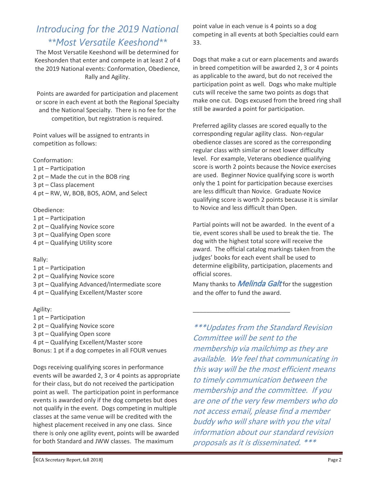# *Introducing for the 2019 National \*\*Most Versatile Keeshond\*\**

The Most Versatile Keeshond will be determined for Keeshonden that enter and compete in at least 2 of 4 the 2019 National events: Conformation, Obedience, Rally and Agility.

Points are awarded for participation and placement or score in each event at both the Regional Specialty and the National Specialty. There is no fee for the competition, but registration is required.

Point values will be assigned to entrants in competition as follows:

Conformation: 1 pt – Participation 2 pt – Made the cut in the BOB ring 3 pt – Class placement 4 pt – RW, W, BOB, BOS, AOM, and Select

#### Obedience:

- 1 pt Participation
- 2 pt Qualifying Novice score
- 3 pt Qualifying Open score 4 pt – Qualifying Utility score
- 

#### Rally:

1 pt – Participation 2 pt – Qualifying Novice score 3 pt – Qualifying Advanced/Intermediate score 4 pt – Qualifying Excellent/Master score

#### Agility:

- 1 pt Participation
- 2 pt Qualifying Novice score
- 3 pt Qualifying Open score
- 4 pt Qualifying Excellent/Master score
- Bonus: 1 pt if a dog competes in all FOUR venues

Dogs receiving qualifying scores in performance events will be awarded 2, 3 or 4 points as appropriate for their class, but do not received the participation point as well. The participation point in performance events is awarded only if the dog competes but does not qualify in the event. Dogs competing in multiple classes at the same venue will be credited with the highest placement received in any one class. Since there is only one agility event, points will be awarded for both Standard and JWW classes. The maximum

point value in each venue is 4 points so a dog competing in all events at both Specialties could earn 33.

Dogs that make a cut or earn placements and awards in breed competition will be awarded 2, 3 or 4 points as applicable to the award, but do not received the participation point as well. Dogs who make multiple cuts will receive the same two points as dogs that make one cut. Dogs excused from the breed ring shall still be awarded a point for participation.

Preferred agility classes are scored equally to the corresponding regular agility class. Non-regular obedience classes are scored as the corresponding regular class with similar or next lower difficulty level. For example, Veterans obedience qualifying score is worth 2 points because the Novice exercises are used. Beginner Novice qualifying score is worth only the 1 point for participation because exercises are less difficult than Novice. Graduate Novice qualifying score is worth 2 points because it is similar to Novice and less difficult than Open.

Partial points will not be awarded. In the event of a tie, event scores shall be used to break the tie. The dog with the highest total score will receive the award. The official catalog markings taken from the judges' books for each event shall be used to determine eligibility, participation, placements and official scores.

Many thanks to *Melinda Galt* for the suggestion and the offer to fund the award.

\_\_\_\_\_\_\_\_\_\_\_\_\_\_\_\_\_\_\_\_\_\_\_\_\_\_\_\_\_

\*\*\*Updates from the Standard Revision Committee will be sent to the membership via mailchimp as they are available. We feel that communicating in this way will be the most efficient means to timely communication between the membership and the committee. If you are one of the very few members who do not access email, please find a member buddy who will share with you the vital information about our standard revision proposals as it is disseminated. \*\*\*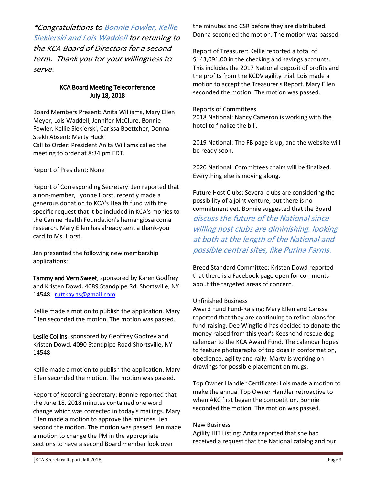\*Congratulations to Bonnie Fowler, Kellie Siekierski and Lois Waddell for retuning to the KCA Board of Directors for a second term. Thank you for your willingness to serve.

#### KCA Board Meeting Teleconference July 18, 2018

Board Members Present: Anita Williams, Mary Ellen Meyer, Lois Waddell, Jennifer McClure, Bonnie Fowler, Kellie Siekierski, Carissa Boettcher, Donna Stekli Absent: Marty Huck Call to Order: President Anita Williams called the meeting to order at 8:34 pm EDT.

#### Report of President: None

Report of Corresponding Secretary: Jen reported that a non-member, Lyonne Horst, recently made a generous donation to KCA's Health fund with the specific request that it be included in KCA's monies to the Canine Health Foundation's hemangiosarcoma research. Mary Ellen has already sent a thank-you card to Ms. Horst.

Jen presented the following new membership applications:

Tammy and Vern Sweet, sponsored by Karen Godfrey and Kristen Dowd. 4089 Standpipe Rd. Shortsville, NY 14548 ruttkay.ts@gmail.com

Kellie made a motion to publish the application. Mary Ellen seconded the motion. The motion was passed.

Leslie Collins, sponsored by Geoffrey Godfrey and Kristen Dowd. 4090 Standpipe Road Shortsville, NY 14548

Kellie made a motion to publish the application. Mary Ellen seconded the motion. The motion was passed.

Report of Recording Secretary: Bonnie reported that the June 18, 2018 minutes contained one word change which was corrected in today's mailings. Mary Ellen made a motion to approve the minutes. Jen second the motion. The motion was passed. Jen made a motion to change the PM in the appropriate sections to have a second Board member look over

the minutes and CSR before they are distributed. Donna seconded the motion. The motion was passed.

Report of Treasurer: Kellie reported a total of \$143,091.00 in the checking and savings accounts. This includes the 2017 National deposit of profits and the profits from the KCDV agility trial. Lois made a motion to accept the Treasurer's Report. Mary Ellen seconded the motion. The motion was passed.

Reports of Committees 2018 National: Nancy Cameron is working with the hotel to finalize the bill.

2019 National: The FB page is up, and the website will be ready soon.

2020 National: Committees chairs will be finalized. Everything else is moving along.

Future Host Clubs: Several clubs are considering the possibility of a joint venture, but there is no commitment yet. Bonnie suggested that the Board discuss the future of the National since willing host clubs are diminishing, looking at both at the length of the National and possible central sites, like Purina Farms.

Breed Standard Committee: Kristen Dowd reported that there is a Facebook page open for comments about the targeted areas of concern.

#### Unfinished Business

Award Fund Fund-Raising: Mary Ellen and Carissa reported that they are continuing to refine plans for fund-raising. Dee Wingfield has decided to donate the money raised from this year's Keeshond rescue dog calendar to the KCA Award Fund. The calendar hopes to feature photographs of top dogs in conformation, obedience, agility and rally. Marty is working on drawings for possible placement on mugs.

Top Owner Handler Certificate: Lois made a motion to make the annual Top Owner Handler retroactive to when AKC first began the competition. Bonnie seconded the motion. The motion was passed.

#### New Business

Agility HIT Listing: Anita reported that she had received a request that the National catalog and our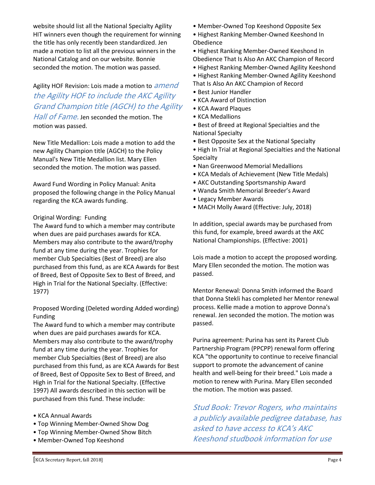website should list all the National Specialty Agility HIT winners even though the requirement for winning the title has only recently been standardized. Jen made a motion to list all the previous winners in the National Catalog and on our website. Bonnie seconded the motion. The motion was passed.

# Agility HOF Revision: Lois made a motion to *amend* the Agility HOF to include the AKC Agility Grand Champion title (AGCH) to the Agility

Hall of Fame. Jen seconded the motion. The motion was passed.

New Title Medallion: Lois made a motion to add the new Agility Champion title (AGCH) to the Policy Manual's New Title Medallion list. Mary Ellen seconded the motion. The motion was passed.

Award Fund Wording in Policy Manual: Anita proposed the following change in the Policy Manual regarding the KCA awards funding.

#### Original Wording: Funding

The Award fund to which a member may contribute when dues are paid purchases awards for KCA. Members may also contribute to the award/trophy fund at any time during the year. Trophies for member Club Specialties (Best of Breed) are also purchased from this fund, as are KCA Awards for Best of Breed, Best of Opposite Sex to Best of Breed, and High in Trial for the National Specialty. (Effective: 1977)

#### Proposed Wording (Deleted wording Added wording) Funding

The Award fund to which a member may contribute when dues are paid purchases awards for KCA. Members may also contribute to the award/trophy fund at any time during the year. Trophies for member Club Specialties (Best of Breed) are also purchased from this fund, as are KCA Awards for Best of Breed, Best of Opposite Sex to Best of Breed, and High in Trial for the National Specialty. (Effective 1997) All awards described in this section will be purchased from this fund. These include:

- KCA Annual Awards
- Top Winning Member-Owned Show Dog
- Top Winning Member-Owned Show Bitch
- Member-Owned Top Keeshond
- Member-Owned Top Keeshond Opposite Sex
- Highest Ranking Member-Owned Keeshond In Obedience

• Highest Ranking Member-Owned Keeshond In Obedience That Is Also An AKC Champion of Record

- Highest Ranking Member-Owned Agility Keeshond
- Highest Ranking Member-Owned Agility Keeshond That Is Also An AKC Champion of Record
- Best Junior Handler
- KCA Award of Distinction
- KCA Award Plaques
- KCA Medallions

• Best of Breed at Regional Specialties and the National Specialty

- Best Opposite Sex at the National Specialty
- High In Trial at Regional Specialties and the National Specialty
- Nan Greenwood Memorial Medallions
- KCA Medals of Achievement (New Title Medals)
- AKC Outstanding Sportsmanship Award
- Wanda Smith Memorial Breeder's Award
- Legacy Member Awards
- MACH Molly Award (Effective: July, 2018)

In addition, special awards may be purchased from this fund, for example, breed awards at the AKC National Championships. (Effective: 2001)

Lois made a motion to accept the proposed wording. Mary Ellen seconded the motion. The motion was passed.

Mentor Renewal: Donna Smith informed the Board that Donna Stekli has completed her Mentor renewal process. Kellie made a motion to approve Donna's renewal. Jen seconded the motion. The motion was passed.

Purina agreement: Purina has sent its Parent Club Partnership Program (PPCPP) renewal form offering KCA "the opportunity to continue to receive financial support to promote the advancement of canine health and well-being for their breed." Lois made a motion to renew with Purina. Mary Ellen seconded the motion. The motion was passed.

Stud Book: Trevor Rogers, who maintains a publicly available pedigree database, has asked to have access to KCA's AKC Keeshond studbook information for use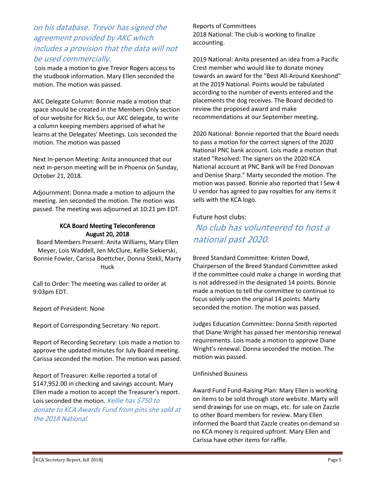## on his database. Trevor has signed the agreement provided by AKC which includes a provision that the data will not be used commercially.

Lois made a motion to give Trevor Rogers access to the studbook information. Mary Ellen seconded the motion. The motion was passed.

AKC Delegate Column: Bonnie made a motion that space should be created in the Members Only section of our website for Rick Su, our AKC delegate, to write a column keeping members apprised of what he learns at the Delegates' Meetings. Lois seconded the motion. The motion was passed

Next In-person Meeting: Anita announced that our next in-person meeting will be in Phoenix on Sunday, October 21, 2018.

Adjournment: Donna made a motion to adjourn the meeting. Jen seconded the motion. The motion was passed. The meeting was adjourned at 10:21 pm EDT.

#### KCA Board Meeting Teleconference August 20, 2018

Board Members Present: Anita Williams, Mary Ellen Meyer, Lois Waddell, Jen McClure, Kellie Siekierski, Bonnie Fowler, Carissa Boettcher, Donna Stekli, Marty Huck

Call to Order: The meeting was called to order at 9:03pm EDT.

Report of President: None

Report of Corresponding Secretary: No report.

Report of Recording Secretary: Lois made a motion to approve the updated minutes for July Board meeting. Carissa seconded the motion. The motion was passed.

Report of Treasurer: Kellie reported a total of \$147,952.00 in checking and savings account. Mary Ellen made a motion to accept the Treasurer's report. Lois seconded the motion. Kellie has \$750 to donate to KCA Awards Fund from pins she sold at the 2018 National.

Reports of Committees 2018 National: The club is working to finalize accounting.

2019 National: Anita presented an idea from a Pacific Crest member who would like to donate money towards an award for the "Best All-Around Keeshond" at the 2019 National. Points would be tabulated according to the number of events entered and the placements the dog receives. The Board decided to review the proposed award and make recommendations at our September meeting.

2020 National: Bonnie reported that the Board needs to pass a motion for the correct signers of the 2020 National PNC bank account. Lois made a motion that stated "Resolved: The signers on the 2020 KCA National account at PNC Bank will be Fred Donovan and Denise Sharp." Marty seconded the motion. The motion was passed. Bonnie also reported that I Sew 4 U vendor has agreed to pay royalties for any items it sells with the KCA logo.

#### Future host clubs:

No club has volunteered to host a national past 2020.

Breed Standard Committee: Kristen Dowd, Chairperson of the Breed Standard Committee asked if the committee could make a change in wording that is not addressed in the designated 14 points. Bonnie made a motion to tell the committee to continue to focus solely upon the original 14 points. Marty seconded the motion. The motion was passed.

Judges Education Committee: Donna Smith reported that Diane Wright has passed her mentorship renewal requirements. Lois made a motion to approve Diane Wright's renewal. Donna seconded the motion. The motion was passed.

#### Unfinished Business

Award Fund Fund-Raising Plan: Mary Ellen is working on items to be sold through store website. Marty will send drawings for use on mugs, etc. for sale on Zazzle to other Board members for review. Mary Ellen informed the Board that Zazzle creates on demand so no KCA money is required upfront. Mary Ellen and Carissa have other items for raffle.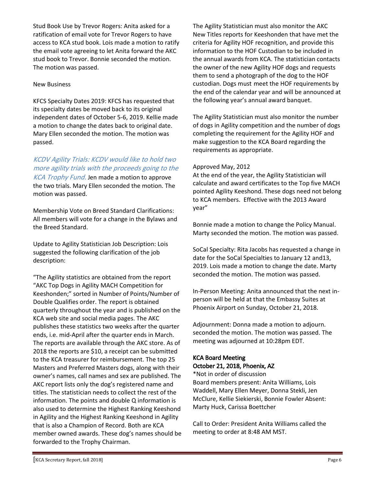Stud Book Use by Trevor Rogers: Anita asked for a ratification of email vote for Trevor Rogers to have access to KCA stud book. Lois made a motion to ratify the email vote agreeing to let Anita forward the AKC stud book to Trevor. Bonnie seconded the motion. The motion was passed.

#### New Business

KFCS Specialty Dates 2019: KFCS has requested that its specialty dates be moved back to its original independent dates of October 5-6, 2019. Kellie made a motion to change the dates back to original date. Mary Ellen seconded the motion. The motion was passed.

#### KCDV Agility Trials: KCDV would like to hold two more agility trials with the proceeds going to the

KCA Trophy Fund. Jen made a motion to approve the two trials. Mary Ellen seconded the motion. The motion was passed.

Membership Vote on Breed Standard Clarifications: All members will vote for a change in the Bylaws and the Breed Standard.

Update to Agility Statistician Job Description: Lois suggested the following clarification of the job description:

"The Agility statistics are obtained from the report "AKC Top Dogs in Agility MACH Competition for Keeshonden;" sorted in Number of Points/Number of Double Qualifies order. The report is obtained quarterly throughout the year and is published on the KCA web site and social media pages. The AKC publishes these statistics two weeks after the quarter ends, i.e. mid-April after the quarter ends in March. The reports are available through the AKC store. As of 2018 the reports are \$10, a receipt can be submitted to the KCA treasurer for reimbursement. The top 25 Masters and Preferred Masters dogs, along with their owner's names, call names and sex are published. The AKC report lists only the dog's registered name and titles. The statistician needs to collect the rest of the information. The points and double Q information is also used to determine the Highest Ranking Keeshond in Agility and the Highest Ranking Keeshond in Agility that is also a Champion of Record. Both are KCA member owned awards. These dog's names should be forwarded to the Trophy Chairman.

The Agility Statistician must also monitor the AKC New Titles reports for Keeshonden that have met the criteria for Agility HOF recognition, and provide this information to the HOF Custodian to be included in the annual awards from KCA. The statistician contacts the owner of the new Agility HOF dogs and requests them to send a photograph of the dog to the HOF custodian. Dogs must meet the HOF requirements by the end of the calendar year and will be announced at the following year's annual award banquet.

The Agility Statistician must also monitor the number of dogs in Agility competition and the number of dogs completing the requirement for the Agility HOF and make suggestion to the KCA Board regarding the requirements as appropriate.

#### Approved May, 2012

At the end of the year, the Agility Statistician will calculate and award certificates to the Top five MACH pointed Agility Keeshond. These dogs need not belong to KCA members. Effective with the 2013 Award year"

Bonnie made a motion to change the Policy Manual. Marty seconded the motion. The motion was passed.

SoCal Specialty: Rita Jacobs has requested a change in date for the SoCal Specialties to January 12 and13, 2019. Lois made a motion to change the date. Marty seconded the motion. The motion was passed.

In-Person Meeting: Anita announced that the next inperson will be held at that the Embassy Suites at Phoenix Airport on Sunday, October 21, 2018.

Adjournment: Donna made a motion to adjourn. seconded the motion. The motion was passed. The meeting was adjourned at 10:28pm EDT.

#### KCA Board Meeting October 21, 2018, Phoenix, AZ

\*Not in order of discussion Board members present: Anita Williams, Lois Waddell, Mary Ellen Meyer, Donna Stekli, Jen McClure, Kellie Siekierski, Bonnie Fowler Absent: Marty Huck, Carissa Boettcher

Call to Order: President Anita Williams called the meeting to order at 8:48 AM MST.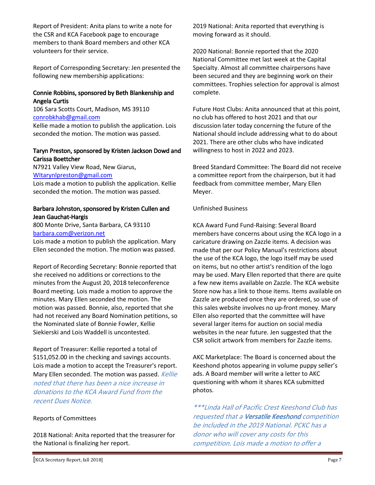Report of President: Anita plans to write a note for the CSR and KCA Facebook page to encourage members to thank Board members and other KCA volunteers for their service.

Report of Corresponding Secretary: Jen presented the following new membership applications:

#### Connie Robbins, sponsored by Beth Blankenship and Angela Curtis

106 Sara Scotts Court, Madison, MS 39110 conrobkhab@gmail.com

Kellie made a motion to publish the application. Lois seconded the motion. The motion was passed.

#### Taryn Preston, sponsored by Kristen Jackson Dowd and Carissa Boettcher

N7921 Valley View Road, New Giarus, WItarynlpreston@gmail.com

Lois made a motion to publish the application. Kellie seconded the motion. The motion was passed.

#### Barbara Johnston, sponsored by Kristen Cullen and Jean Gauchat-Hargis

800 Monte Drive, Santa Barbara, CA 93110 barbara.com@verizon.net

Lois made a motion to publish the application. Mary Ellen seconded the motion. The motion was passed.

Report of Recording Secretary: Bonnie reported that she received no additions or corrections to the minutes from the August 20, 2018 teleconference Board meeting. Lois made a motion to approve the minutes. Mary Ellen seconded the motion. The motion was passed. Bonnie, also, reported that she had not received any Board Nomination petitions, so the Nominated slate of Bonnie Fowler, Kellie Siekierski and Lois Waddell is uncontested.

Report of Treasurer: Kellie reported a total of \$151,052.00 in the checking and savings accounts. Lois made a motion to accept the Treasurer's report. Mary Ellen seconded. The motion was passed. Kellie noted that there has been a nice increase in donations to the KCA Award Fund from the recent Dues Notice.

#### Reports of Committees

2018 National: Anita reported that the treasurer for the National is finalizing her report.

2019 National: Anita reported that everything is moving forward as it should.

2020 National: Bonnie reported that the 2020 National Committee met last week at the Capital Specialty. Almost all committee chairpersons have been secured and they are beginning work on their committees. Trophies selection for approval is almost complete.

Future Host Clubs: Anita announced that at this point, no club has offered to host 2021 and that our discussion later today concerning the future of the National should include addressing what to do about 2021. There are other clubs who have indicated willingness to host in 2022 and 2023.

Breed Standard Committee: The Board did not receive a committee report from the chairperson, but it had feedback from committee member, Mary Ellen Meyer.

#### Unfinished Business

KCA Award Fund Fund-Raising: Several Board members have concerns about using the KCA logo in a caricature drawing on Zazzle items. A decision was made that per our Policy Manual's restrictions about the use of the KCA logo, the logo itself may be used on items, but no other artist's rendition of the logo may be used. Mary Ellen reported that there are quite a few new items available on Zazzle. The KCA website Store now has a link to those items. Items available on Zazzle are produced once they are ordered, so use of this sales website involves no up-front money. Mary Ellen also reported that the committee will have several larger items for auction on social media websites in the near future. Jen suggested that the CSR solicit artwork from members for Zazzle items.

AKC Marketplace: The Board is concerned about the Keeshond photos appearing in volume puppy seller's ads. A Board member will write a letter to AKC questioning with whom it shares KCA submitted photos.

\*\*\*Linda Hall of Pacific Crest Keeshond Club has requested that a Versatile Keeshond competition be included in the 2019 National. PCKC has a donor who will cover any costs for this competition. Lois made a motion to offer a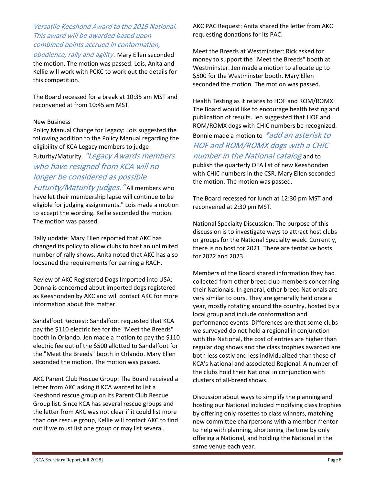#### Versatile Keeshond Award to the 2019 National. This award will be awarded based upon combined points accrued in conformation,

obedience, rally and agility. Mary Ellen seconded the motion. The motion was passed. Lois, Anita and Kellie will work with PCKC to work out the details for this competition.

The Board recessed for a break at 10:35 am MST and reconvened at from 10:45 am MST.

#### New Business

Policy Manual Change for Legacy: Lois suggested the following addition to the Policy Manual regarding the eligibility of KCA Legacy members to judge

Futurity/Maturity. "Legacy Awards members who have resigned from KCA will no longer be considered as possible

Futurity/Maturity judges." All members who have let their membership lapse will continue to be eligible for judging assignments." Lois made a motion to accept the wording. Kellie seconded the motion. The motion was passed.

Rally update: Mary Ellen reported that AKC has changed its policy to allow clubs to host an unlimited number of rally shows. Anita noted that AKC has also loosened the requirements for earning a RACH.

Review of AKC Registered Dogs Imported into USA: Donna is concerned about imported dogs registered as Keeshonden by AKC and will contact AKC for more information about this matter.

Sandalfoot Request: Sandalfoot requested that KCA pay the \$110 electric fee for the "Meet the Breeds" booth in Orlando. Jen made a motion to pay the \$110 electric fee out of the \$500 allotted to Sandalfoot for the "Meet the Breeds" booth in Orlando. Mary Ellen seconded the motion. The motion was passed.

AKC Parent Club Rescue Group: The Board received a letter from AKC asking if KCA wanted to list a Keeshond rescue group on its Parent Club Rescue Group list. Since KCA has several rescue groups and the letter from AKC was not clear if it could list more than one rescue group, Kellie will contact AKC to find out if we must list one group or may list several.

AKC PAC Request: Anita shared the letter from AKC requesting donations for its PAC.

Meet the Breeds at Westminster: Rick asked for money to support the "Meet the Breeds" booth at Westminster. Jen made a motion to allocate up to \$500 for the Westminster booth. Mary Ellen seconded the motion. The motion was passed.

Health Testing as it relates to HOF and ROM/ROMX: The Board would like to encourage health testing and publication of results. Jen suggested that HOF and ROM/ROMX dogs with CHIC numbers be recognized. Bonnie made a motion to \*add an asterisk to HOF and ROM/ROMX dogs with a CHIC number in the National catalog and to publish the quarterly OFA list of new Keeshonden with CHIC numbers in the CSR. Mary Ellen seconded the motion. The motion was passed.

The Board recessed for lunch at 12:30 pm MST and reconvened at 2:30 pm MST.

National Specialty Discussion: The purpose of this discussion is to investigate ways to attract host clubs or groups for the National Specialty week. Currently, there is no host for 2021. There are tentative hosts for 2022 and 2023.

Members of the Board shared information they had collected from other breed club members concerning their Nationals. In general, other breed Nationals are very similar to ours. They are generally held once a year, mostly rotating around the country, hosted by a local group and include conformation and performance events. Differences are that some clubs we surveyed do not hold a regional in conjunction with the National, the cost of entries are higher than regular dog shows and the class trophies awarded are both less costly and less individualized than those of KCA's National and associated Regional. A number of the clubs hold their National in conjunction with clusters of all-breed shows.

Discussion about ways to simplify the planning and hosting our National included modifying class trophies by offering only rosettes to class winners, matching new committee chairpersons with a member mentor to help with planning, shortening the time by only offering a National, and holding the National in the same venue each year.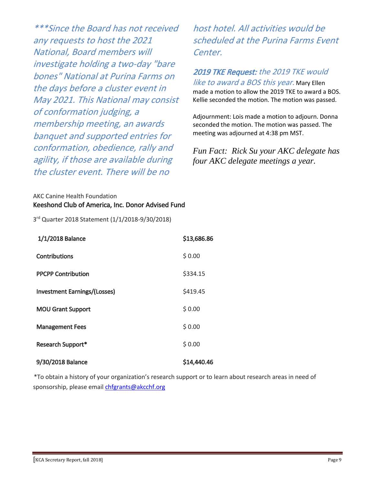\*\*\*Since the Board has not received any requests to host the 2021 National, Board members will investigate holding a two-day "bare bones" National at Purina Farms on the days before a cluster event in May 2021. This National may consist of conformation judging, a membership meeting, an awards banquet and supported entries for conformation, obedience, rally and agility, if those are available during the cluster event. There will be no

host hotel. All activities would be scheduled at the Purina Farms Event Center.

2019 TKE Request: the 2019 TKE would like to award a BOS this year. Mary Ellen made a motion to allow the 2019 TKE to award a BOS. Kellie seconded the motion. The motion was passed.

Adjournment: Lois made a motion to adjourn. Donna seconded the motion. The motion was passed. The meeting was adjourned at 4:38 pm MST.

*Fun Fact: Rick Su your AKC delegate has four AKC delegate meetings a year.*

AKC Canine Health Foundation Keeshond Club of America, Inc. Donor Advised Fund

3<sup>rd</sup> Quarter 2018 Statement (1/1/2018-9/30/2018)

| 1/1/2018 Balance                    | \$13,686.86 |
|-------------------------------------|-------------|
| <b>Contributions</b>                | \$0.00      |
| <b>PPCPP Contribution</b>           | \$334.15    |
| <b>Investment Earnings/(Losses)</b> | \$419.45    |
| <b>MOU Grant Support</b>            | \$0.00      |
| <b>Management Fees</b>              | \$0.00      |
| <b>Research Support*</b>            | \$0.00      |
| 9/30/2018 Balance                   | \$14,440.46 |

\*To obtain a history of your organization's research support or to learn about research areas in need of sponsorship, please email chfgrants@akcchf.org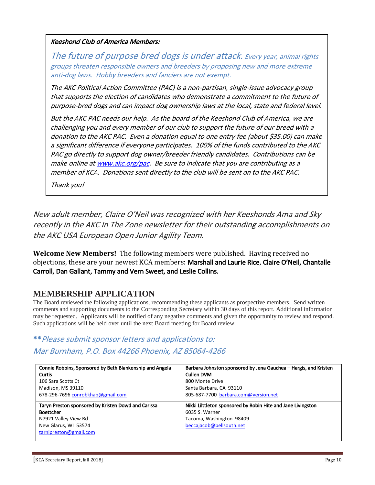Keeshond Club of America Members:

The future of purpose bred dogs is under attack. Every year, animal rights groups threaten responsible owners and breeders by proposing new and more extreme anti-dog laws. Hobby breeders and fanciers are not exempt.

The AKC Political Action Committee (PAC) is a non-partisan, single-issue advocacy group that supports the election of candidates who demonstrate a commitment to the future of purpose-bred dogs and can impact dog ownership laws at the local, state and federal level.

But the AKC PAC needs our help. As the board of the Keeshond Club of America, we are challenging you and every member of our club to support the future of our breed with a donation to the AKC PAC. Even a donation equal to one entry fee (about \$35.00) can make a significant difference if everyone participates. 100% of the funds contributed to the AKC PAC go directly to support dog owner/breeder friendly candidates. Contributions can be make online at www.akc.org/pac. Be sure to indicate that you are contributing as a member of KCA. Donations sent directly to the club will be sent on to the AKC PAC.

Thank you!

New adult member, Claire O'Neil was recognized with her Keeshonds Ama and Sky recently in the AKC In The Zone newsletter for their outstanding accomplishments on the AKC USA European Open Junior Agility Team.

**Welcome New Members!** The following members were published. Having received no objections, these are your newest KCA members: Marshall and Laurie Rice, Claire O'Neil, Chantalle Carroll, Dan Gallant, Tammy and Vern Sweet, and Leslie Collins.

## **MEMBERSHIP APPLICATION**

The Board reviewed the following applications, recommending these applicants as prospective members. Send written comments and supporting documents to the Corresponding Secretary within 30 days of this report. Additional information may be requested. Applicants will be notified of any negative comments and given the opportunity to review and respond. Such applications will be held over until the next Board meeting for Board review.

# \*\*Please submit sponsor letters and applications to: Mar Burnham, P.O. Box 44266 Phoenix, AZ 85064-4266

| Connie Robbins, Sponsored by Beth Blankenship and Angela | Barbara Johnston sponsored by Jena Gauchea - Hargis, and Kristen |  |  |
|----------------------------------------------------------|------------------------------------------------------------------|--|--|
| <b>Curtis</b>                                            | <b>Cullen DVM</b>                                                |  |  |
| 106 Sara Scotts Ct                                       | 800 Monte Drive                                                  |  |  |
| Madison, MS 39110                                        | Santa Barbara, CA 93110                                          |  |  |
| 678-296-7696 conrobkhab@gmail.com                        | 805-687-7700 barbara.com@version.net                             |  |  |
|                                                          |                                                                  |  |  |
|                                                          |                                                                  |  |  |
| Taryn Preston sponsored by Kristen Dowd and Carissa      | Nikki Lilttleton sponsored by Robin Hite and Jane Livingston     |  |  |
| <b>Boettcher</b>                                         | 6035 S. Warner                                                   |  |  |
| N7921 Valley View Rd                                     | Tacoma, Washington 98409                                         |  |  |
| New Glarus, WI 53574                                     | beccajacob@bellsouth.net                                         |  |  |
| tarnlpreston@gmail.com                                   |                                                                  |  |  |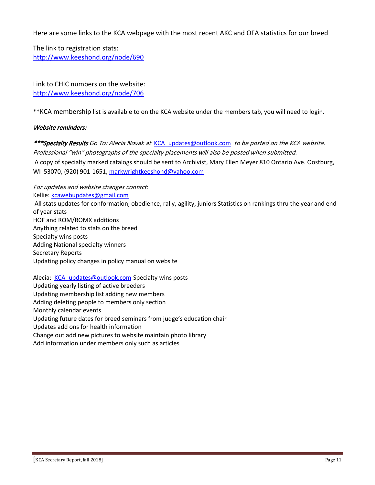Here are some links to the KCA webpage with the most recent AKC and OFA statistics for our breed

The link to registration stats: http://www.keeshond.org/node/690

Link to CHIC numbers on the website: http://www.keeshond.org/node/706

\*\*KCA membership list is available to on the KCA website under the members tab, you will need to login.

#### Website reminders:

\*\*\*Specialty Results Go To: Alecia Novak at KCA updates@outlook.com to be posted on the KCA website. Professional "win" photographs of the specialty placements will also be posted when submitted. A copy of specialty marked catalogs should be sent to Archivist, Mary Ellen Meyer 810 Ontario Ave. Oostburg, WI 53070, (920) 901-1651, markwrightkeeshond@yahoo.com

For updates and website changes contact: Kellie: kcawebupdates@gmail.com All stats updates for conformation, obedience, rally, agility, juniors Statistics on rankings thru the year and end of year stats HOF and ROM/ROMX additions Anything related to stats on the breed Specialty wins posts Adding National specialty winners Secretary Reports Updating policy changes in policy manual on website

Alecia: KCA\_updates@outlook.com Specialty wins posts Updating yearly listing of active breeders Updating membership list adding new members Adding deleting people to members only section Monthly calendar events Updating future dates for breed seminars from judge's education chair Updates add ons for health information Change out add new pictures to website maintain photo library Add information under members only such as articles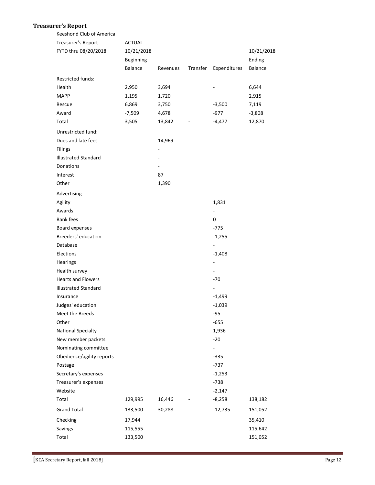#### **Treasurer's Report**

| Keeshond Club of America    |                |          |          |                          |            |
|-----------------------------|----------------|----------|----------|--------------------------|------------|
| Treasurer's Report          | <b>ACTUAL</b>  |          |          |                          |            |
| FYTD thru 08/20/2018        | 10/21/2018     |          |          |                          | 10/21/2018 |
|                             | Beginning      |          |          |                          | Ending     |
|                             | <b>Balance</b> | Revenues | Transfer | Expenditures             | Balance    |
| Restricted funds:           |                |          |          |                          |            |
| Health                      | 2,950          | 3,694    |          |                          | 6,644      |
| <b>MAPP</b>                 | 1,195          | 1,720    |          |                          | 2,915      |
| Rescue                      | 6,869          | 3,750    |          | $-3,500$                 | 7,119      |
| Award                       | $-7,509$       | 4,678    |          | $-977$                   | $-3,808$   |
| Total                       | 3,505          | 13,842   |          | $-4,477$                 | 12,870     |
| Unrestricted fund:          |                |          |          |                          |            |
| Dues and late fees          |                | 14,969   |          |                          |            |
| Filings                     |                |          |          |                          |            |
| <b>Illustrated Standard</b> |                |          |          |                          |            |
| Donations                   |                |          |          |                          |            |
| Interest                    |                | 87       |          |                          |            |
| Other                       |                | 1,390    |          |                          |            |
|                             |                |          |          |                          |            |
| Advertising                 |                |          |          | $\overline{\phantom{a}}$ |            |
| Agility                     |                |          |          | 1,831                    |            |
| Awards                      |                |          |          | $\blacksquare$           |            |
| <b>Bank fees</b>            |                |          |          | 0                        |            |
| Board expenses              |                |          |          | $-775$                   |            |
| Breeders' education         |                |          |          | $-1,255$                 |            |
| Database                    |                |          |          | $\blacksquare$           |            |
| Elections                   |                |          |          | $-1,408$                 |            |
| Hearings                    |                |          |          |                          |            |
| Health survey               |                |          |          | $\sim$                   |            |
| <b>Hearts and Flowers</b>   |                |          |          | $-70$                    |            |
| <b>Illustrated Standard</b> |                |          |          | $\blacksquare$           |            |
| Insurance                   |                |          |          | $-1,499$                 |            |
| Judges' education           |                |          |          | $-1,039$                 |            |
| Meet the Breeds             |                |          |          | $-95$                    |            |
| Other                       |                |          |          | $-655$                   |            |
| <b>National Specialty</b>   |                |          |          | 1,936                    |            |
| New member packets          |                |          |          | $-20$                    |            |
| Nominating committee        |                |          |          | $\blacksquare$           |            |
| Obedience/agility reports   |                |          |          | $-335$                   |            |
| Postage                     |                |          |          | $-737$                   |            |
| Secretary's expenses        |                |          |          | $-1,253$                 |            |
| Treasurer's expenses        |                |          |          | $-738$                   |            |
| Website                     |                |          |          | $-2,147$                 |            |
| Total                       | 129,995        | 16,446   |          | $-8,258$                 | 138,182    |
| <b>Grand Total</b>          | 133,500        | 30,288   |          | $-12,735$                | 151,052    |
| Checking                    | 17,944         |          |          |                          | 35,410     |
| Savings                     | 115,555        |          |          |                          | 115,642    |
| Total                       | 133,500        |          |          |                          | 151,052    |
|                             |                |          |          |                          |            |